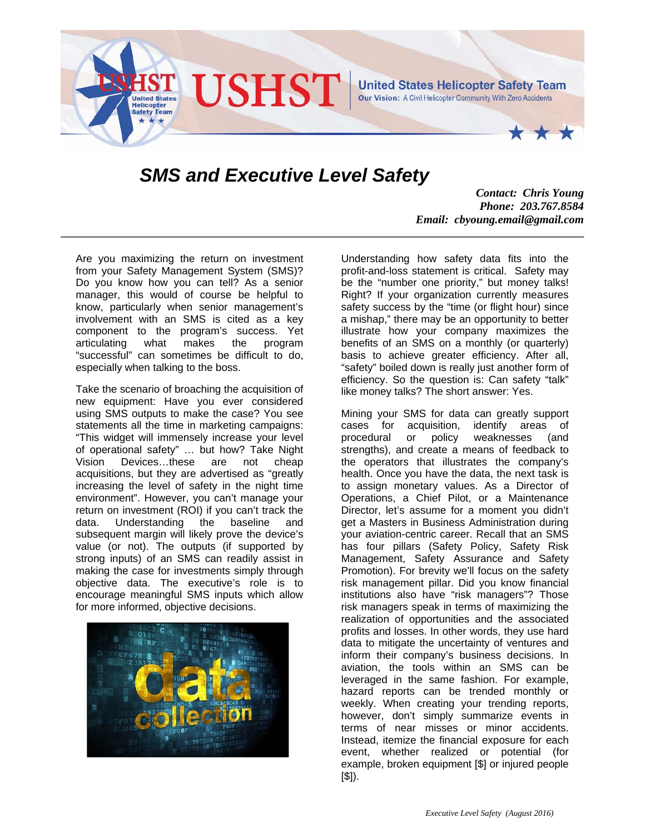

## *SMS and Executive Level Safety*

*Contact: Chris Young Phone: 203.767.8584 Email: cbyoung.email@gmail.com*

Are you maximizing the return on investment from your Safety Management System (SMS)? Do you know how you can tell? As a senior manager, this would of course be helpful to know, particularly when senior management's involvement with an SMS is cited as a key component to the program's success. Yet articulating what makes the program "successful" can sometimes be difficult to do, especially when talking to the boss.

Take the scenario of broaching the acquisition of new equipment: Have you ever considered using SMS outputs to make the case? You see statements all the time in marketing campaigns: "This widget will immensely increase your level of operational safety" … but how? Take Night Vision Devices…these are not cheap acquisitions, but they are advertised as "greatly increasing the level of safety in the night time environment". However, you can't manage your return on investment (ROI) if you can't track the data. Understanding the baseline and subsequent margin will likely prove the device's value (or not). The outputs (if supported by strong inputs) of an SMS can readily assist in making the case for investments simply through objective data. The executive's role is to encourage meaningful SMS inputs which allow for more informed, objective decisions.



Understanding how safety data fits into the profit-and-loss statement is critical. Safety may be the "number one priority," but money talks! Right? If your organization currently measures safety success by the "time (or flight hour) since a mishap," there may be an opportunity to better illustrate how your company maximizes the benefits of an SMS on a monthly (or quarterly) basis to achieve greater efficiency. After all, "safety" boiled down is really just another form of efficiency. So the question is: Can safety "talk" like money talks? The short answer: Yes.

Mining your SMS for data can greatly support cases for acquisition, identify areas of procedural or policy weaknesses (and strengths), and create a means of feedback to the operators that illustrates the company's health. Once you have the data, the next task is to assign monetary values. As a Director of Operations, a Chief Pilot, or a Maintenance Director, let's assume for a moment you didn't get a Masters in Business Administration during your aviation-centric career. Recall that an SMS has four pillars (Safety Policy, Safety Risk Management, Safety Assurance and Safety Promotion). For brevity we'll focus on the safety risk management pillar. Did you know financial institutions also have "risk managers"? Those risk managers speak in terms of maximizing the realization of opportunities and the associated profits and losses. In other words, they use hard data to mitigate the uncertainty of ventures and inform their company's business decisions. In aviation, the tools within an SMS can be leveraged in the same fashion. For example, hazard reports can be trended monthly or weekly. When creating your trending reports, however, don't simply summarize events in terms of near misses or minor accidents. Instead, itemize the financial exposure for each event, whether realized or potential (for example, broken equipment [\$] or injured people  $[$]$ ).